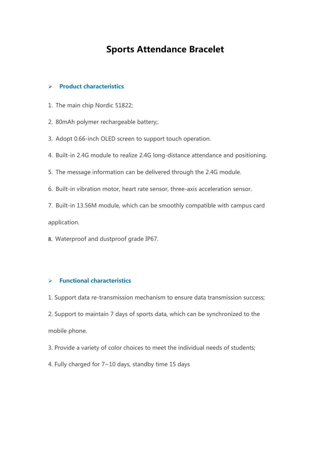## **Sports Attendance Bracelet**

## **Product characteristics**

- 1. The main chip Nordic 51822;
- 2. 80mAh polymer rechargeable battery;.
- 3. Adopt 0.66-inch OLED screen to support touch operation.
- 4. Built-in 2.4G module to realize 2.4G long-distance attendance and positioning.
- 5. The message information can be delivered through the 2.4G module.
- 6. Built-in vibration motor, heart rate sensor, three-axis acceleration sensor.
- 7. Built-in 13.56M module, which can be smoothly compatible with campus card application.
- 8. Waterproof and dustproof grade IP67.

## **Functional characteristics**

1. Support data re-transmission mechanism to ensure data transmission success;

2. Support to maintain 7 days of sports data, which can be synchronized to the mobile phone.

3. Provide a variety of color choices to meet the individual needs of students;

4. Fully charged for 7~10 days, standby time 15 days